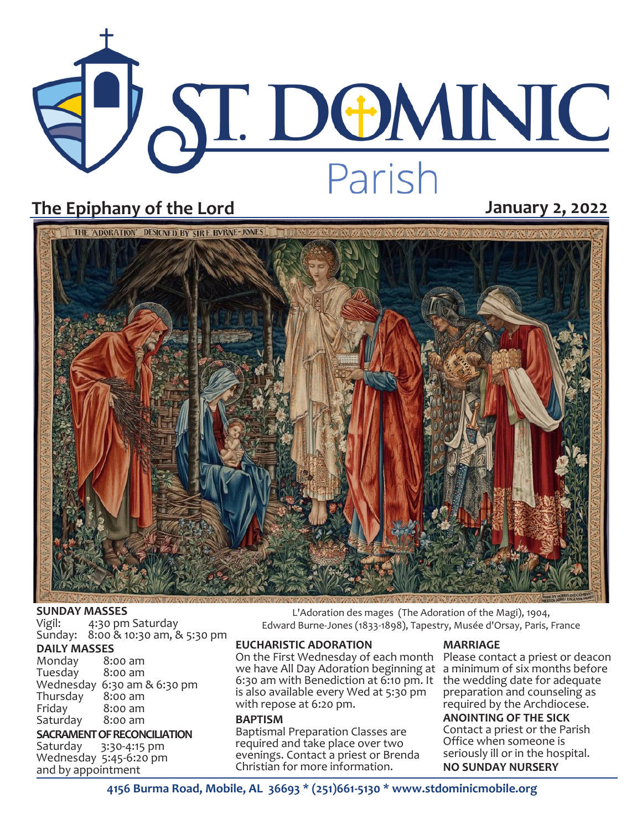# **ST. DOMINIC** Parish

# **The Epiphany of the Lord January 2, 2022**



# **SUNDAY MASSES**<br>Vigil: 4:30 pm

4:30 pm Saturday Sunday: 8:00 & 10:30 am, & 5:30 pm

## **DAILY MASSES**

Monday 8:00 am Tuesday Wednesday 6:30 am & 6:30 pm Thursday<br>Friday  $8:00$  am<br> $8:00$  am Saturday

# **SACRAMENT OF RECONCILIATION**<br>Saturday 3:30-4:15 pm

Saturday 3:30-4:15 pm Wednesday 5:45-6:20 pm and by appointment

L'Adoration des mages (The Adoration of the Magi), 1904, Edward Burne-Jones (1833-1898), Tapestry, Musée d'Orsay, Paris, France

### **EUCHARISTIC ADORATION**

On the First Wednesday of each month Please contact a priest or deacon we have All Day Adoration beginning at a minimum of six months before 6:30 am with Benediction at 6:10 pm. It the wedding date for adequate is also available every Wed at 5:30 pm with repose at 6:20 pm.

#### **BAPTISM**

Baptismal Preparation Classes are required and take place over two evenings. Contact a priest or Brenda Christian for more information.

#### **MARRIAGE**

preparation and counseling as required by the Archdiocese. **ANOINTING OF THE SICK** Contact a priest or the Parish Office when someone is seriously ill or in the hospital. **NO SUNDAY NURSERY**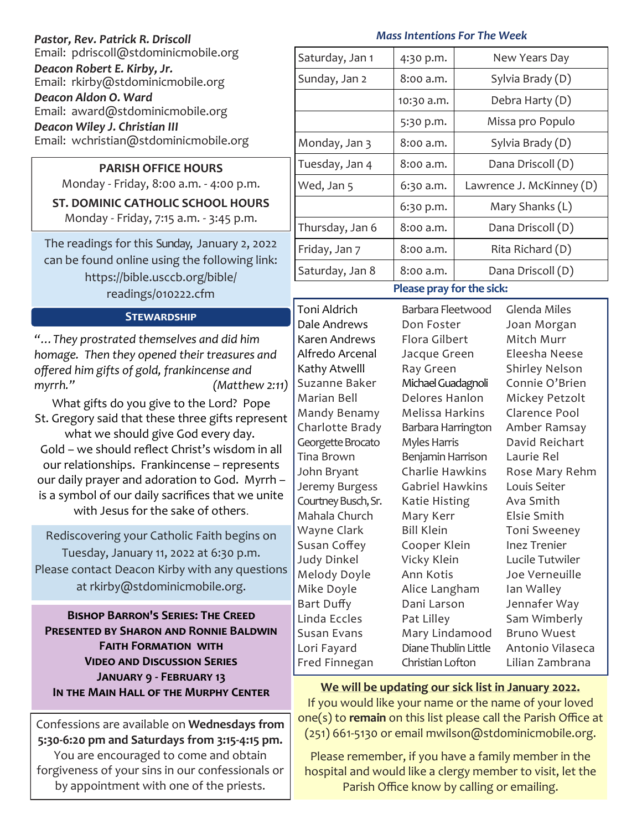| Pastor, Rev. Patrick R. Driscoll<br>Email: pdriscoll@stdominicmobile.org |  |  |
|--------------------------------------------------------------------------|--|--|
| Deacon Robert E. Kirby, Jr.<br>Email: rkirby@stdominicmobile.org         |  |  |
| Deacon Aldon O. Ward<br>Email: award@stdominicmobile.org                 |  |  |
| Deacon Wiley J. Christian III<br>Email: wchristian@stdominicmobile.org   |  |  |

## **PARISH OFFICE HOURS**

Monday - Friday, 8:00 a.m. - 4:00 p.m.

**ST. DOMINIC CATHOLIC SCHOOL HOURS** 

Monday - Friday, 7:15 a.m. - 3:45 p.m.

The readings for this Sunday, January 2, 2022 can be found online using the following link: https://bible.usccb.org/bible/ readings/010222.cfm

## **Stewardship**

*"…They prostrated themselves and did him homage. Then they opened their treasures and offered him gifts of gold, frankincense and myrrh." (Matthew 2:11)*

What gifts do you give to the Lord? Pope St. Gregory said that these three gifts represent what we should give God every day. Gold – we should reflect Christ's wisdom in all our relationships. Frankincense – represents our daily prayer and adoration to God. Myrrh – is a symbol of our daily sacrifices that we unite with Jesus for the sake of others.

Rediscovering your Catholic Faith begins on Tuesday, January 11, 2022 at 6:30 p.m. Please contact Deacon Kirby with any questions at rkirby@stdominicmobile.org.

**Bishop Barron's Series: The Creed Presented by Sharon and Ronnie Baldwin Faith Formation with Video and Discussion Series January 9 - February 13**

Confessions are available on **Wednesdays from 5:30-6:20 pm and Saturdays from 3:15-4:15 pm.**  You are encouraged to come and obtain forgiveness of your sins in our confessionals or by appointment with one of the priests.

#### *Mass Intentions For The Week*

| Saturday, Jan 1          | 4:30 p.m.  | New Years Day            |  |
|--------------------------|------------|--------------------------|--|
| Sunday, Jan 2            | 8:00 a.m.  | Sylvia Brady (D)         |  |
|                          | 10:30 a.m. | Debra Harty (D)          |  |
|                          | 5:30 p.m.  | Missa pro Populo         |  |
| Monday, Jan 3            | 8:00 a.m.  | Sylvia Brady (D)         |  |
| Tuesday, Jan 4           | 8:00 a.m.  | Dana Driscoll (D)        |  |
| Wed, Jan 5               | 6:30 a.m.  | Lawrence J. McKinney (D) |  |
|                          | 6:30 p.m.  | Mary Shanks (L)          |  |
| Thursday, Jan 6          | 8:00 a.m.  | Dana Driscoll (D)        |  |
| Friday, Jan 7            | 8:00 a.m.  | Rita Richard (D)         |  |
| Saturday, Jan 8          | 8:00 a.m.  | Dana Driscoll (D)        |  |
| Dloase pray for the sick |            |                          |  |

# **Please pray for the sick:**

Toni Aldrich Dale Andrews Karen Andrews Alfredo Arcenal Kathy Atwelll Suzanne Baker Marian Bell Mandy Benamy Charlotte Brady Georgette Brocato Tina Brown John Bryant Jeremy Burgess Courtney Busch, Sr. Mahala Church Wayne Clark Susan Coffey Judy Dinkel Melody Doyle Mike Doyle Bart Duffy Linda Eccles Susan Evans Lori Fayard Fred Finnegan

Barbara Fleetwood Don Foster Flora Gilbert Jacque Green Ray Green Michael Guadagnoli Delores Hanlon Melissa Harkins Barbara Harrington Myles Harris Benjamin Harrison Charlie Hawkins Gabriel Hawkins Katie Histing Mary Kerr Bill Klein Cooper Klein Vicky Klein Ann Kotis Alice Langham Dani Larson Pat Lilley Mary Lindamood Diane Thublin Little Christian Lofton

Glenda Miles Joan Morgan Mitch Murr Eleesha Neese Shirley Nelson Connie O'Brien Mickey Petzolt Clarence Pool Amber Ramsay David Reichart Laurie Rel Rose Mary Rehm Louis Seiter Ava Smith Elsie Smith Toni Sweeney Inez Trenier Lucile Tutwiler Joe Verneuille Ian Walley Jennafer Way Sam Wimberly Bruno Wuest Antonio Vilaseca Lilian Zambrana

# **IN THE MAIN HALL OF THE MURPHY CENTER** We will be updating our sick list in January 2022.

If you would like your name or the name of your loved one(s) to **remain** on this list please call the Parish Office at (251) 661-5130 or email mwilson@stdominicmobile.org.

Please remember, if you have a family member in the hospital and would like a clergy member to visit, let the Parish Office know by calling or emailing.